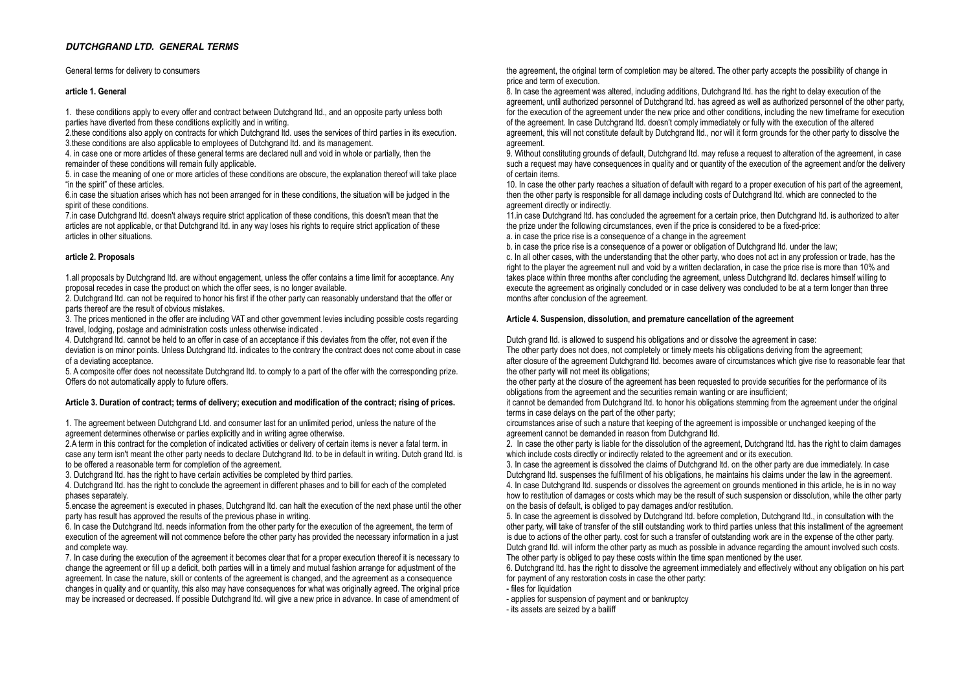# *DUTCHGRAND LTD. GENERAL TERMS*

General terms for delivery to consumers

#### **article 1. General**

1. these conditions apply to every offer and contract between Dutchgrand ltd., and an opposite party unless both parties have diverted from these conditions explicitly and in writing.

2.these conditions also apply on contracts for which Dutchgrand ltd. uses the services of third parties in its execution. 3. these conditions are also applicable to employees of Dutchgrand ltd. and its management.

4. in case one or more articles of these general terms are declared null and void in whole or partially, then the remainder of these conditions will remain fully applicable.

5. in case the meaning of one or more articles of these conditions are obscure, the explanation thereof will take place "in the spirit" of these articles.

6.in case the situation arises which has not been arranged for in these conditions, the situation will be judged in the spirit of these conditions.

7. in case Dutchgrand ltd. doesn't always require strict application of these conditions, this doesn't mean that the articles are not applicable, or that Dutchgrand ltd. in any way loses his rights to require strict application of these articles in other situations.

## **article 2. Proposals**

1.all proposals by Dutchgrand ltd. are without engagement, unless the offer contains a time limit for acceptance. Any proposal recedes in case the product on which the offer sees, is no longer available.

2. Dutchgrand ltd. can not be required to honor his first if the other party can reasonably understand that the offer or parts thereof are the result of obvious mistakes.

3. The prices mentioned in the offer are including VAT and other government levies including possible costs regarding travel, lodging, postage and administration costs unless otherwise indicated .

4. Dutchgrand ltd. cannot be held to an offer in case of an acceptance if this deviates from the offer, not even if the deviation is on minor points. Unless Dutchgrand ltd. indicates to the contrary the contract does not come about in case of a deviating acceptance.

5. A composite offer does not necessitate Dutchgrand ltd. to comply to a part of the offer with the corresponding prize. Offers do not automatically apply to future offers.

## **Article 3. Duration of contract; terms of delivery; execution and modification of the contract; rising of prices.**

1. The agreement between Dutchgrand Ltd. and consumer last for an unlimited period, unless the nature of the agreement determines otherwise or parties explicitly and in writing agree otherwise.

2.A term in this contract for the completion of indicated activities or delivery of certain items is never a fatal term. in case any term isn't meant the other party needs to declare Dutchgrand ltd. to be in default in writing. Dutch grand ltd. is to be offered a reasonable term for completion of the agreement.

3. Dutchgrand ltd. has the right to have certain activities be completed by third parties.

4. Dutchgrand ltd. has the right to conclude the agreement in different phases and to bill for each of the completed phases separately.

5. encase the agreement is executed in phases. Dutchgrand ltd. can halt the execution of the next phase until the other party has result has approved the results of the previous phase in writing.

6. In case the Dutchgrand ltd. needs information from the other party for the execution of the agreement, the term of execution of the agreement will not commence before the other party has provided the necessary information in a just and complete way.

7. In case during the execution of the agreement it becomes clear that for a proper execution thereof it is necessary to change the agreement or fill up a deficit, both parties will in a timely and mutual fashion arrange for adjustment of the agreement. In case the nature, skill or contents of the agreement is changed, and the agreement as a consequence changes in quality and or quantity, this also may have consequences for what was originally agreed. The original price may be increased or decreased. If possible Dutchgrand ltd. will give a new price in advance. In case of amendment of

the agreement, the original term of completion may be altered. The other party accepts the possibility of change in price and term of execution.

8. In case the agreement was altered, including additions. Dutchgrand ltd. has the right to delay execution of the agreement, until authorized personnel of Dutchgrand ltd. has agreed as well as authorized personnel of the other party for the execution of the agreement under the new price and other conditions, including the new timeframe for execution of the agreement. In case Dutchgrand ltd. doesn't comply immediately or fully with the execution of the altered agreement, this will not constitute default by Dutchgrand ltd., nor will it form grounds for the other party to dissolve the agreement.

9. Without constituting grounds of default. Dutchgrand ltd. may refuse a request to alteration of the agreement, in case such a request may have consequences in quality and or quantity of the execution of the agreement and/or the delivery of certain items.

10. In case the other party reaches a situation of default with regard to a proper execution of his part of the agreement, then the other party is responsible for all damage including costs of Dutchgrand ltd, which are connected to the agreement directly or indirectly.

11. in case Dutchgrand ltd. has concluded the agreement for a certain price, then Dutchgrand ltd. is authorized to alter the prize under the following circumstances, even if the price is considered to be a fixed-price:

a. in case the price rise is a consequence of a change in the agreement

b. in case the price rise is a consequence of a power or obligation of Dutchgrand ltd. under the law:

c. In all other cases, with the understanding that the other party, who does not act in any profession or trade, has the right to the player the agreement null and void by a written declaration, in case the price rise is more than 10% and takes place within three months after concluding the agreement, unless Dutchgrand ltd. declares himself willing to execute the agreement as originally concluded or in case delivery was concluded to be at a term longer than three months after conclusion of the agreement.

## **Article 4. Suspension, dissolution, and premature cancellation of the agreement**

Dutch grand ltd. is allowed to suspend his obligations and or dissolve the agreement in case:

The other party does not does, not completely or timely meets his obligations deriving from the agreement; after closure of the agreement Dutchgrand ltd. becomes aware of circumstances which give rise to reasonable fear that the other party will not meet its obligations;

the other party at the closure of the agreement has been requested to provide securities for the performance of its obligations from the agreement and the securities remain wanting or are insufficient;

it cannot be demanded from Dutchgrand ltd. to honor his obligations stemming from the agreement under the original terms in case delays on the part of the other party;

circumstances arise of such a nature that keeping of the agreement is impossible or unchanged keeping of the agreement cannot be demanded in reason from Dutchgrand ltd.

2. In case the other party is liable for the dissolution of the agreement, Dutchgrand ltd. has the right to claim damages which include costs directly or indirectly related to the agreement and or its execution.

3. In case the agreement is dissolved the claims of Dutchgrand ltd. on the other party are due immediately. In case Dutchgrand ltd. suspenses the fulfillment of his obligations, he maintains his claims under the law in the agreement. 4. In case Dutchgrand ltd. suspends or dissolves the agreement on grounds mentioned in this article, he is in no way how to restitution of damages or costs which may be the result of such suspension or dissolution, while the other party on the basis of default, is obliged to pay damages and/or restitution.

5. In case the agreement is dissolved by Dutchgrand ltd. before completion, Dutchgrand ltd., in consultation with the other party, will take of transfer of the still outstanding work to third parties unless that this installment of the agreement is due to actions of the other party. cost for such a transfer of outstanding work are in the expense of the other party. Dutch grand ltd. will inform the other party as much as possible in advance regarding the amount involved such costs. The other party is obliged to pay these costs within the time span mentioned by the user.

6. Dutchgrand ltd. has the right to dissolve the agreement immediately and effectively without any obligation on his part for payment of any restoration costs in case the other party:

- files for liquidation

- applies for suspension of payment and or bankruptcy

- its assets are seized by a bailiff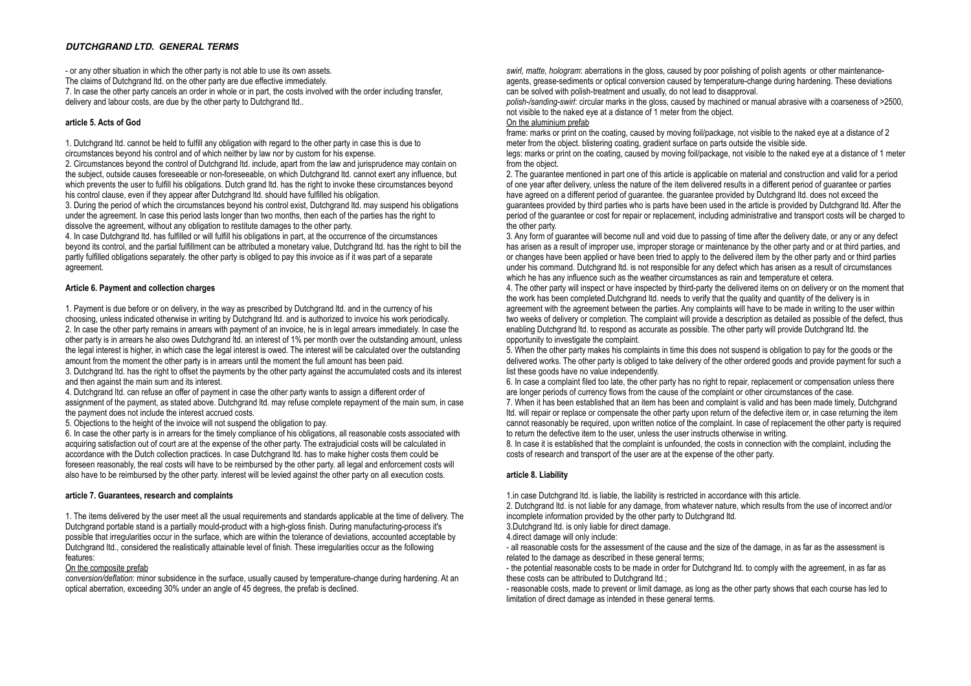# *DUTCHGRAND LTD. GENERAL TERMS*

- or any other situation in which the other party is not able to use its own assets. The claims of Dutchgrand ltd. on the other party are due effective immediately

7. In case the other party cancels an order in whole or in part, the costs involved with the order including transfer, delivery and labour costs, are due by the other party to Dutchgrand ltd.

## **article 5. Acts of God**

1. Dutchgrand ltd. cannot be held to fulfill any obligation with regard to the other party in case this is due to circumstances beyond his control and of which neither by law nor by custom for his expense.

2. Circumstances beyond the control of Dutchgrand ltd. include, apart from the law and jurisprudence may contain on the subject, outside causes foreseeable or non-foreseeable, on which Dutchgrand ltd. cannot exert any influence, but which prevents the user to fulfill his obligations. Dutch grand ltd, has the right to invoke these circumstances beyond his control clause, even if they appear after Dutchgrand ltd, should have fulfilled his obligation.

3. During the period of which the circumstances beyond his control exist, Dutchgrand ltd. may suspend his obligations under the agreement. In case this period lasts longer than two months, then each of the parties has the right to dissolve the agreement, without any obligation to restitute damages to the other party.

4. In case Dutchgrand ltd. has fulfilled or will fulfill his obligations in part, at the occurrence of the circumstances beyond its control, and the partial fulfillment can be attributed a monetary value, Dutchgrand ltd. has the right to bill the partly fulfilled obligations separately. the other party is obliged to pay this invoice as if it was part of a separate agreement.

## **Article 6. Payment and collection charges**

1. Payment is due before or on delivery, in the way as prescribed by Dutchgrand ltd, and in the currency of his choosing, unless indicated otherwise in writing by Dutchgrand ltd. and is authorized to invoice his work periodically. 2. In case the other party remains in arrears with payment of an invoice, he is in legal arrears immediately. In case the other party is in arrears he also owes Dutchgrand ltd. an interest of 1% per month over the outstanding amount, unless the legal interest is higher, in which case the legal interest is owed. The interest will be calculated over the outstanding amount from the moment the other party is in arrears until the moment the full amount has been paid. 3. Dutchgrand ltd. has the right to offset the payments by the other party against the accumulated costs and its interest

and then against the main sum and its interest. 4. Dutchgrand ltd. can refuse an offer of payment in case the other party wants to assign a different order of

assignment of the payment, as stated above. Dutchgrand ltd. may refuse complete repayment of the main sum, in case the payment does not include the interest accrued costs.

5. Objections to the height of the invoice will not suspend the obligation to pay.

6. In case the other party is in arrears for the timely compliance of his obligations, all reasonable costs associated with acquiring satisfaction out of court are at the expense of the other party. The extrajudicial costs will be calculated in accordance with the Dutch collection practices. In case Dutchgrand ltd. has to make higher costs them could be foreseen reasonably, the real costs will have to be reimbursed by the other party. all legal and enforcement costs will also have to be reimbursed by the other party. interest will be levied against the other party on all execution costs.

## **article 7. Guarantees, research and complaints**

1. The items delivered by the user meet all the usual requirements and standards applicable at the time of delivery. The Dutchgrand portable stand is a partially mould-product with a high-gloss finish. During manufacturing-process it's possible that irregularities occur in the surface, which are within the tolerance of deviations, accounted acceptable by Dutchgrand ltd., considered the realistically attainable level of finish. These irregularities occur as the following features:

## On the composite prefab

*conversion/deflation*: minor subsidence in the surface, usually caused by temperature-change during hardening. At an optical aberration, exceeding 30% under an angle of 45 degrees, the prefab is declined.

*swirl, matte, hologram*: aberrations in the gloss, caused by poor polishing of polish agents or other maintenanceagents, grease-sediments or optical conversion caused by temperature-change during hardening. These deviations can be solved with polish-treatment and usually, do not lead to disapproval.

*polish-/sanding-swirl*: circular marks in the gloss, caused by machined or manual abrasive with a coarseness of >2500, not visible to the naked eye at a distance of 1 meter from the object.

# On the aluminium prefab

frame: marks or print on the coating, caused by moving foil/package, not visible to the naked eye at a distance of 2 meter from the object. blistering coating, gradient surface on parts outside the visible side.

legs: marks or print on the coating, caused by moving foil/package, not visible to the naked eye at a distance of 1 meter from the object.

2. The guarantee mentioned in part one of this article is applicable on material and construction and valid for a period of one year after delivery, unless the nature of the item delivered results in a different period of guarantee or parties have agreed on a different period of guarantee. the guarantee provided by Dutchgrand ltd. does not exceed the guarantees provided by third parties who is parts have been used in the article is provided by Dutchgrand ltd. After the period of the guarantee or cost for repair or replacement, including administrative and transport costs will be charged to the other party.

3. Any form of guarantee will become null and void due to passing of time after the delivery date, or any or any defect has arisen as a result of improper use, improper storage or maintenance by the other party and or at third parties, and or changes have been applied or have been tried to apply to the delivered item by the other party and or third parties under his command. Dutchgrand ltd. is not responsible for any defect which has arisen as a result of circumstances which he has any influence such as the weather circumstances as rain and temperature et cetera.

4. The other party will inspect or have inspected by third-party the delivered items on on delivery or on the moment that the work has been completed.Dutchgrand ltd. needs to verify that the quality and quantity of the delivery is in agreement with the agreement between the parties. Any complaints will have to be made in writing to the user within two weeks of delivery or completion. The complaint will provide a description as detailed as possible of the defect, thus enabling Dutchgrand ltd. to respond as accurate as possible. The other party will provide Dutchgrand ltd. the opportunity to investigate the complaint.

5. When the other party makes his complaints in time this does not suspend is obligation to pay for the goods or the delivered works. The other party is obliged to take delivery of the other ordered goods and provide payment for such a list these goods have no value independently.

 $6.$  In case a complaint filed too late, the other party has no right to repair, replacement or compensation unless there are longer periods of currency flows from the cause of the complaint or other circumstances of the case. 7. When it has been established that an item has been and complaint is valid and has been made timely, Dutchgrand ltd. will repair or replace or compensate the other party upon return of the defective item or, in case returning the item cannot reasonably be required, upon written notice of the complaint. In case of replacement the other party is required to return the defective item to the user, unless the user instructs otherwise in writing.

8. In case it is established that the complaint is unfounded, the costs in connection with the complaint, including the costs of research and transport of the user are at the expense of the other party.

# **article 8. Liability**

1.in case Dutchgrand ltd. is liable, the liability is restricted in accordance with this article.

2. Dutchgrand ltd. is not liable for any damage, from whatever nature, which results from the use of incorrect and/or incomplete information provided by the other party to Dutchgrand ltd.

3.Dutchgrand ltd. is only liable for direct damage.

4.direct damage will only include:

- all reasonable costs for the assessment of the cause and the size of the damage, in as far as the assessment is related to the damage as described in these general terms;

- the potential reasonable costs to be made in order for Dutchgrand ltd. to comply with the agreement, in as far as these costs can be attributed to Dutchgrand ltd.;

- reasonable costs, made to prevent or limit damage, as long as the other party shows that each course has led to limitation of direct damage as intended in these general terms.